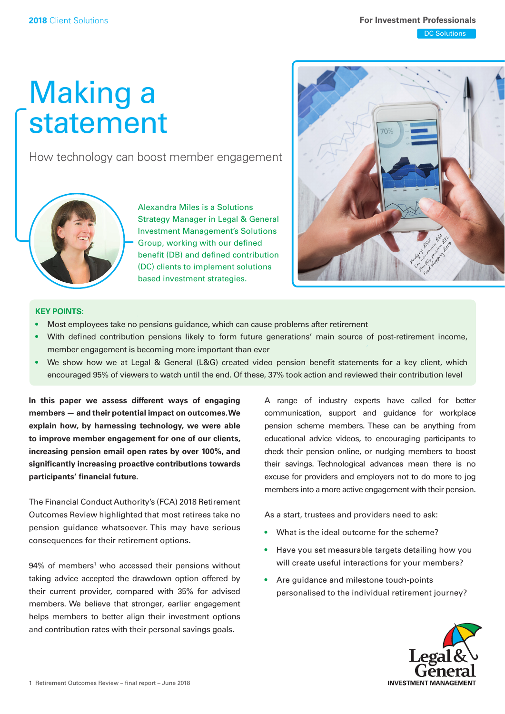## Making a statement

How technology can boost member engagement



Alexandra Miles is a Solutions Strategy Manager in Legal & General Investment Management's Solutions Group, working with our defned benefit (DB) and defined contribution (DC) clients to implement solutions based investment strategies.



### **KEY POINTS:**

- Most employees take no pensions guidance, which can cause problems after retirement
- • With defned contribution pensions likely to form future generations' main source of post-retirement income, member engagement is becoming more important than ever
- We show how we at Legal & General (L&G) created video pension benefit statements for a key client, which encouraged 95% of viewers to watch until the end. Of these, 37% took action and reviewed their contribution level

**In this paper we assess different ways of engaging members — and their potential impact on [outcomes.We](https://outcomes.We) explain how, by harnessing technology, we were able to improve member engagement for one of our clients, increasing pension email open rates by over 100%, and signifcantly increasing proactive contributions towards participants' fnancial future.** 

The Financial Conduct Authority's (FCA) 2018 Retirement Outcomes Review highlighted that most retirees take no pension guidance whatsoever. This may have serious consequences for their retirement options.

94% of members<sup>1</sup> who accessed their pensions without taking advice accepted the drawdown option offered by their current provider, compared with 35% for advised members. We believe that stronger, earlier engagement helps members to better align their investment options and contribution rates with their personal savings goals.

A range of industry experts have called for better communication, support and guidance for workplace pension scheme members. These can be anything from educational advice videos, to encouraging participants to check their pension online, or nudging members to boost their savings. Technological advances mean there is no excuse for providers and employers not to do more to jog members into a more active engagement with their pension.

As a start, trustees and providers need to ask:

- What is the ideal outcome for the scheme?
- • Have you set measurable targets detailing how you will create useful interactions for your members?
- • Are guidance and milestone touch-points personalised to the individual retirement journey?

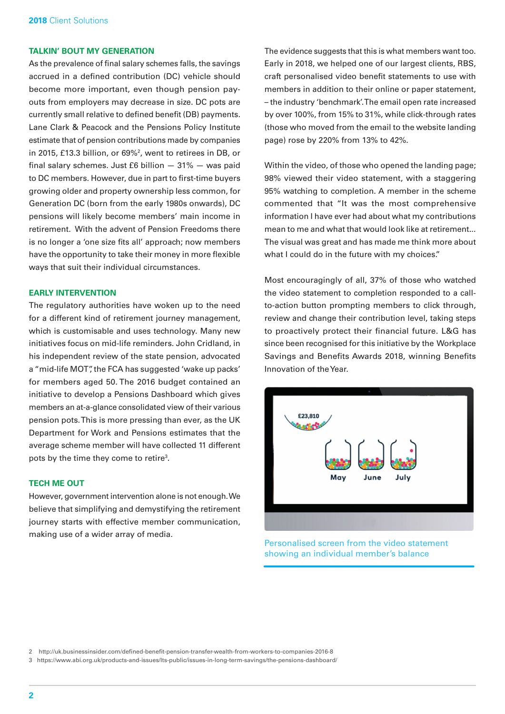### **TALKIN' BOUT MY GENERATION**

As the prevalence of final salary schemes falls, the savings accrued in a defned contribution (DC) vehicle should become more important, even though pension payouts from employers may decrease in size. DC pots are currently small relative to defined benefit (DB) payments. Lane Clark & Peacock and the Pensions Policy Institute estimate that of pension contributions made by companies in 2015, £13.3 billion, or 69%2 , went to retirees in DB, or final salary schemes. Just £6 billion  $-31\% -$  was paid to DC members. However, due in part to first-time buyers growing older and property ownership less common, for Generation DC (born from the early 1980s onwards), DC pensions will likely become members' main income in retirement. With the advent of Pension Freedoms there is no longer a 'one size fits all' approach; now members have the opportunity to take their money in more fexible ways that suit their individual circumstances.

### **EARLY INTERVENTION**

The regulatory authorities have woken up to the need for a different kind of retirement journey management, which is customisable and uses technology. Many new initiatives focus on mid-life reminders. John Cridland, in his independent review of the state pension, advocated a "mid-life MOT", the FCA has suggested 'wake up packs' for members aged 50. The 2016 budget contained an initiative to develop a Pensions Dashboard which gives members an at-a-glance consolidated view of their various pension pots. This is more pressing than ever, as the UK Department for Work and Pensions estimates that the average scheme member will have collected 11 different pots by the time they come to retire3 .

### **TECH ME OUT**

However, government intervention alone is not enough. We believe that simplifying and demystifying the retirement journey starts with effective member communication, making use of a wider array of media.

The evidence suggests that this is what members want too. Early in 2018, we helped one of our largest clients, RBS, craft personalised video beneft statements to use with members in addition to their online or paper statement, – the industry 'benchmark'. The email open rate increased by over 100%, from 15% to 31%, while click-through rates (those who moved from the email to the website landing page) rose by 220% from 13% to 42%.

Within the video, of those who opened the landing page; 98% viewed their video statement, with a staggering 95% watching to completion. A member in the scheme commented that "It was the most comprehensive information I have ever had about what my contributions mean to me and what that would look like at retirement... The visual was great and has made me think more about what I could do in the future with my choices."

 since been recognised for this initiative by the Workplace Most encouragingly of all, 37% of those who watched the video statement to completion responded to a callto-action button prompting members to click through, review and change their contribution level, taking steps to proactively protect their financial future. L&G has Savings and Benefits Awards 2018, winning Benefits Innovation of the Year.



Personalised screen from the video statement showing an individual member's balance

2 [http://uk.businessinsider.com/defned-beneft-pension-transfer-wealth-from-workers-to-companies-2016-8](http://uk.businessinsider.com/defined-benefit-pension-transfer-wealth-from-workers-to-companies-2016-8) 

3 [https://www.abi.org.uk/products-and-issues/lts-public/issues-in-long-term-savings/the-pensions-dashboard/](https://www.abi.org.uk/products-and-issues/lts-public/issues-in-long-term-savings/the-pensions-dashboard)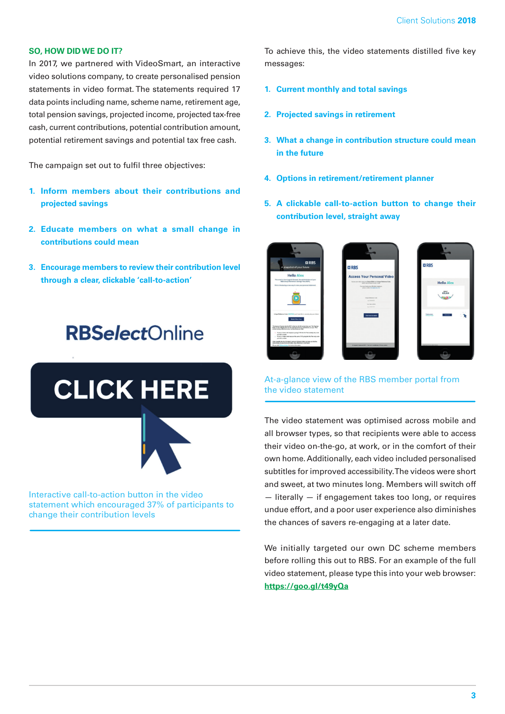### **SO, HOW DID WE DO IT?**

In 2017, we partnered with VideoSmart, an interactive video solutions company, to create personalised pension statements in video format. The statements required 17 data points including name, scheme name, retirement age, total pension savings, projected income, projected tax-free cash, current contributions, potential contribution amount, potential retirement savings and potential tax free cash.

The campaign set out to fulfil three objectives:

- **1. Inform members about their contributions and projected savings**
- **2. Educate members on what a small change in contributions could mean**
- **3. Encourage members to review their contribution level through a clear, clickable 'call-to-action'**

## **RBSelectOnline**

# **CLICK HERE**

Interactive call-to-action button in the video statement which encouraged 37% of participants to change their contribution levels

To achieve this, the video statements distilled five key messages:

- **1. Current monthly and total savings**
- **2. Projected savings in retirement**
- **3. What a change in contribution structure could mean in the future**
- **4. Options in retirement/retirement planner**
- **5. A clickable call-to-action button to change their contribution level, straight away**





### At-a-glance view of the RBS member portal from the video statement

The video statement was optimised across mobile and all browser types, so that recipients were able to access their video on-the-go, at work, or in the comfort of their own home. Additionally, each video included personalised subtitles for improved accessibility. The videos were short and sweet, at two minutes long. Members will switch off — literally — if engagement takes too long, or requires undue effort, and a poor user experience also diminishes the chances of savers re-engaging at a later date.

We initially targeted our own DC scheme members before rolling this out to RBS. For an example of the full video statement, please type this into your web browser: **<https://goo.gl/t49yQa>**